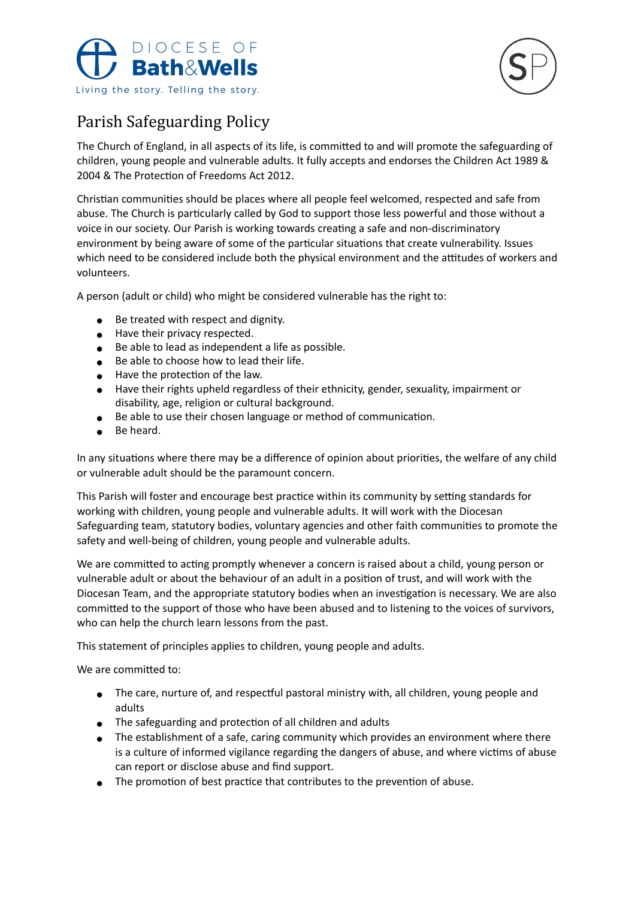



## Parish Safeguarding Policy

The Church of England, in all aspects of its life, is committed to and will promote the safeguarding of children, young people and vulnerable adults. It fully accepts and endorses the Children Act 1989 & 2004 & The Protection of Freedoms Act 2012.

Christian communities should be places where all people feel welcomed, respected and safe from abuse. The Church is particularly called by God to support those less powerful and those without a voice in our society. Our Parish is working towards creating a safe and non-discriminatory environment by being aware of some of the particular situations that create vulnerability. Issues which need to be considered include both the physical environment and the attitudes of workers and volunteers.

A person (adult or child) who might be considered vulnerable has the right to:

- Be treated with respect and dignity.
- Have their privacy respected.
- Be able to lead as independent a life as possible.
- Be able to choose how to lead their life.
- $\bullet$  Have the protection of the law.
- ! Have their rights upheld regardless of their ethnicity, gender, sexuality, impairment or disability, age, religion or cultural background.
- $\bullet$  Be able to use their chosen language or method of communication.
- Be heard.

In any situations where there may be a difference of opinion about priorities, the welfare of any child or vulnerable adult should be the paramount concern.

This Parish will foster and encourage best practice within its community by setting standards for working with children, young people and vulnerable adults. It will work with the Diocesan Safeguarding team, statutory bodies, voluntary agencies and other faith communities to promote the safety and well-being of children, young people and vulnerable adults.

We are committed to acting promptly whenever a concern is raised about a child, young person or vulnerable adult or about the behaviour of an adult in a position of trust, and will work with the Diocesan Team, and the appropriate statutory bodies when an investigation is necessary. We are also committed to the support of those who have been abused and to listening to the voices of survivors, who can help the church learn lessons from the past.

This statement of principles applies to children, young people and adults.

We are committed to:

- $\bullet$  The care, nurture of, and respectful pastoral ministry with, all children, young people and adults
- $\bullet$  The safeguarding and protection of all children and adults
- The establishment of a safe, caring community which provides an environment where there is a culture of informed vigilance regarding the dangers of abuse, and where victims of abuse can report or disclose abuse and find support.
- $\bullet$  The promotion of best practice that contributes to the prevention of abuse.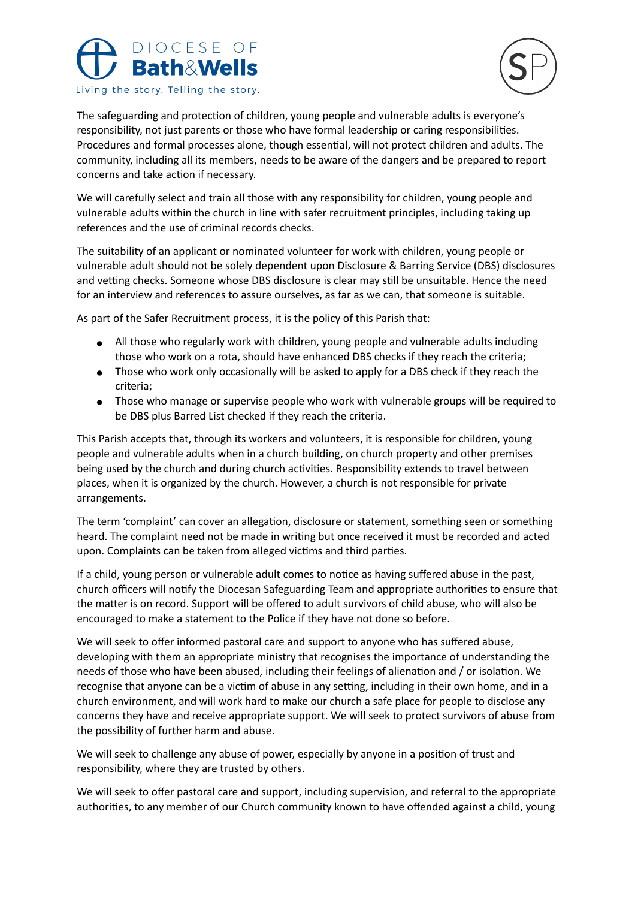



The safeguarding and protection of children, young people and vulnerable adults is everyone's responsibility, not just parents or those who have formal leadership or caring responsibilities. Procedures and formal processes alone, though essential, will not protect children and adults. The community, including all its members, needs to be aware of the dangers and be prepared to report concerns and take action if necessary.

We will carefully select and train all those with any responsibility for children, young people and vulnerable adults within the church in line with safer recruitment principles, including taking up references and the use of criminal records checks.

The suitability of an applicant or nominated volunteer for work with children, young people or vulnerable adult should not be solely dependent upon Disclosure & Barring Service (DBS) disclosures and vetting checks. Someone whose DBS disclosure is clear may still be unsuitable. Hence the need for an interview and references to assure ourselves, as far as we can, that someone is suitable.

As part of the Safer Recruitment process, it is the policy of this Parish that:

- All those who regularly work with children, young people and vulnerable adults including those who work on a rota, should have enhanced DBS checks if they reach the criteria;
- Those who work only occasionally will be asked to apply for a DBS check if they reach the criteria;
- Those who manage or supervise people who work with vulnerable groups will be required to be DBS plus Barred List checked if they reach the criteria.

This Parish accepts that, through its workers and volunteers, it is responsible for children, young people and vulnerable adults when in a church building, on church property and other premises being used by the church and during church activities. Responsibility extends to travel between places, when it is organized by the church. However, a church is not responsible for private arrangements.

The term 'complaint' can cover an allegation, disclosure or statement, something seen or something heard. The complaint need not be made in writing but once received it must be recorded and acted upon. Complaints can be taken from alleged victims and third parties.

If a child, young person or vulnerable adult comes to notice as having suffered abuse in the past, church officers will notify the Diocesan Safeguarding Team and appropriate authorities to ensure that the matter is on record. Support will be offered to adult survivors of child abuse, who will also be encouraged to make a statement to the Police if they have not done so before.

We will seek to offer informed pastoral care and support to anyone who has suffered abuse, developing with them an appropriate ministry that recognises the importance of understanding the needs of those who have been abused, including their feelings of alienation and / or isolation. We recognise that anyone can be a victim of abuse in any setting, including in their own home, and in a church environment, and will work hard to make our church a safe place for people to disclose any concerns they have and receive appropriate support. We will seek to protect survivors of abuse from the possibility of further harm and abuse.

We will seek to challenge any abuse of power, especially by anyone in a position of trust and responsibility, where they are trusted by others.

We will seek to offer pastoral care and support, including supervision, and referral to the appropriate authorities, to any member of our Church community known to have offended against a child, young